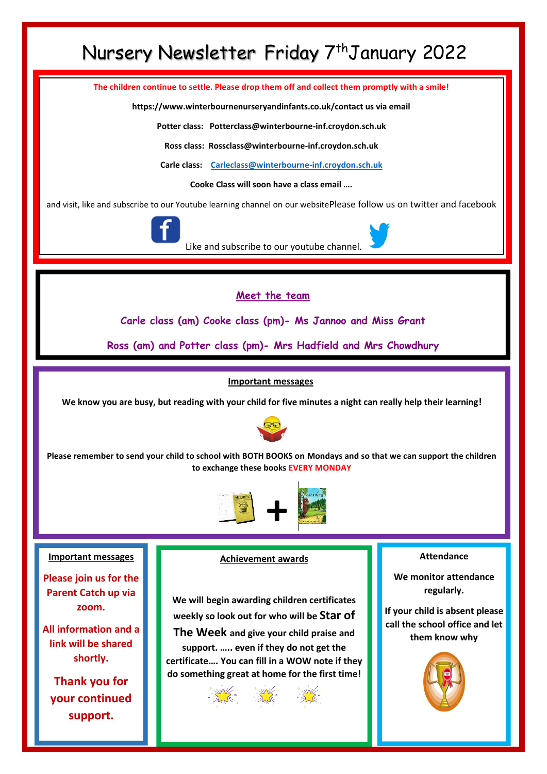# Nursery Newsletter Friday 7<sup>th</sup>January 2022

**The children continue to settle. Please drop them off and collect them promptly with a smile!**

**https://www.winterbournenurseryandinfants.co.uk/contact us via email**

**Potter class: Potterclass@winterbourne-inf.croydon.sch.uk**

**Ross class: Rossclass@winterbourne-inf.croydon.sch.uk**

**Carle class: [Carleclass@winterbourne-inf.croydon.sch.uk](mailto:Carleclass@winterbourne-inf.croydon.sch.uk)**

**Cooke Class will soon have a class email ….**

and visit, like and subscribe to our Youtube learning channel on our websitePlease follow us on twitter and facebook



Like and subscribe to our youtube channel.

### **Meet the team**

**Carle class (am) Cooke class (pm)- Ms Jannoo and Miss Grant**

**Ross (am) and Potter class (pm)- Mrs Hadfield and Mrs Chowdhury**

#### **Important messages**

**We know you are busy, but reading with your child for five minutes a night can really help their learning!**



**Please remember to send your child to school with BOTH BOOKS on Mondays and so that we can support the children to exchange these books EVERY MONDAY**



#### **Important messages**

**Please join us for the Parent Catch up via zoom.**

**All information and a link will be shared shortly.**

**Thank you for your continued support.**

#### **Achievement awards**

**We will begin awarding children certificates weekly so look out for who will be Star of** 

**The Week and give your child praise and support. ….. even if they do not get the certificate…. You can fill in a WOW note if they do something great at home for the first time!** 



#### **Attendance**

**We monitor attendance regularly.**

**If your child is absent please call the school office and let them know why**